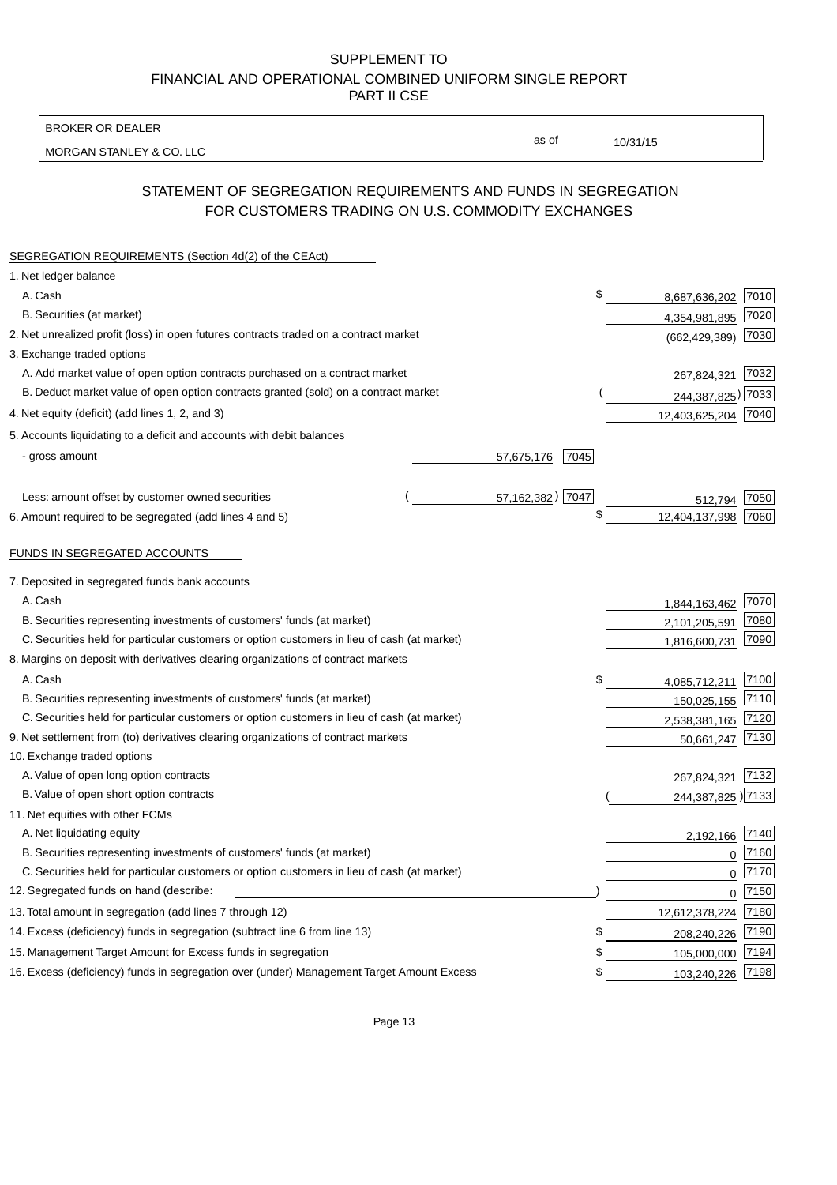BROKER OR DEALER

MORGAN STANLEY & CO. LLC

10/31/15

as of

# STATEMENT OF SEGREGATION REQUIREMENTS AND FUNDS IN SEGREGATION FOR CUSTOMERS TRADING ON U.S. COMMODITY EXCHANGES

| SEGREGATION REQUIREMENTS (Section 4d(2) of the CEAct)                                       |                    |                     |      |
|---------------------------------------------------------------------------------------------|--------------------|---------------------|------|
| 1. Net ledger balance                                                                       |                    |                     |      |
| A. Cash                                                                                     | \$                 | 8,687,636,202       | 7010 |
| B. Securities (at market)                                                                   |                    | 4,354,981,895       | 7020 |
| 2. Net unrealized profit (loss) in open futures contracts traded on a contract market       |                    | (662, 429, 389)     | 7030 |
| 3. Exchange traded options                                                                  |                    |                     |      |
| A. Add market value of open option contracts purchased on a contract market                 |                    | 267,824,321         | 7032 |
| B. Deduct market value of open option contracts granted (sold) on a contract market         |                    | 244,387,825) 7033   |      |
| 4. Net equity (deficit) (add lines 1, 2, and 3)                                             |                    | 12,403,625,204 7040 |      |
| 5. Accounts liquidating to a deficit and accounts with debit balances                       |                    |                     |      |
| - gross amount                                                                              | 7045<br>57,675,176 |                     |      |
|                                                                                             |                    |                     |      |
| Less: amount offset by customer owned securities                                            | 57, 162, 382) 7047 | 512,794             | 7050 |
| 6. Amount required to be segregated (add lines 4 and 5)                                     | \$                 | 12,404,137,998      | 7060 |
|                                                                                             |                    |                     |      |
| FUNDS IN SEGREGATED ACCOUNTS                                                                |                    |                     |      |
| 7. Deposited in segregated funds bank accounts                                              |                    |                     |      |
| A. Cash                                                                                     |                    | 1,844,163,462       | 7070 |
| B. Securities representing investments of customers' funds (at market)                      |                    | 2,101,205,591       | 7080 |
| C. Securities held for particular customers or option customers in lieu of cash (at market) |                    | 1,816,600,731       | 7090 |
| 8. Margins on deposit with derivatives clearing organizations of contract markets           |                    |                     |      |
| A. Cash                                                                                     | \$                 | 4,085,712,211       | 7100 |
| B. Securities representing investments of customers' funds (at market)                      |                    | 150,025,155         | 7110 |
| C. Securities held for particular customers or option customers in lieu of cash (at market) |                    | 2,538,381,165       | 7120 |
| 9. Net settlement from (to) derivatives clearing organizations of contract markets          |                    | 50,661,247          | 7130 |
| 10. Exchange traded options                                                                 |                    |                     |      |
| A. Value of open long option contracts                                                      |                    | 267,824,321         | 7132 |
| B. Value of open short option contracts                                                     |                    | 244,387,825 ) 7133  |      |
| 11. Net equities with other FCMs                                                            |                    |                     |      |
| A. Net liquidating equity                                                                   |                    | 2,192,166           | 7140 |
| B. Securities representing investments of customers' funds (at market)                      |                    | $\Omega$            | 7160 |
| C. Securities held for particular customers or option customers in lieu of cash (at market) |                    | $\mathbf 0$         | 7170 |
| 12. Segregated funds on hand (describe:                                                     |                    | $\mathbf 0$         | 7150 |
| 13. Total amount in segregation (add lines 7 through 12)                                    |                    | 12,612,378,224      | 7180 |
| 14. Excess (deficiency) funds in segregation (subtract line 6 from line 13)                 | \$                 | 208,240,226         | 7190 |
| 15. Management Target Amount for Excess funds in segregation                                | \$                 | 105,000,000         | 7194 |
| 16. Excess (deficiency) funds in segregation over (under) Management Target Amount Excess   | \$                 | 103,240,226         | 7198 |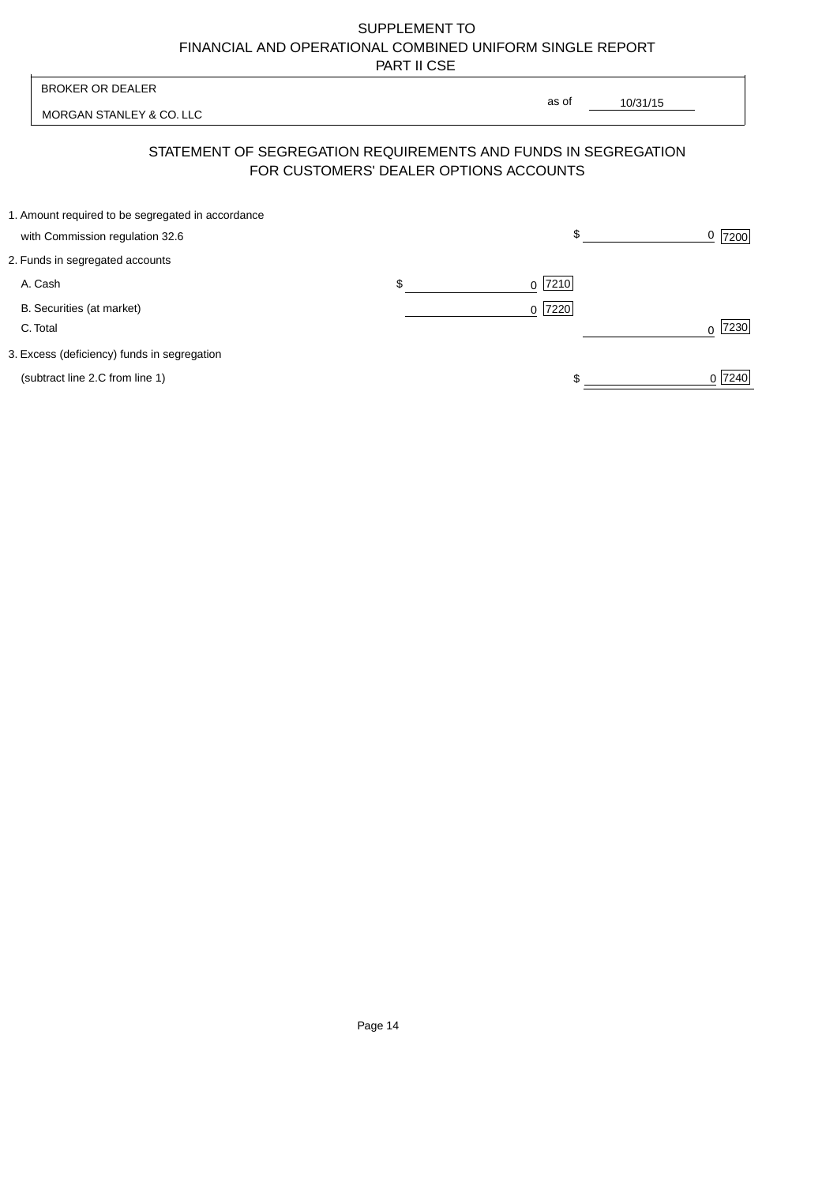| <b>BROKER OR DEALER</b>                                                              |                                        | as of                                                          |                  |
|--------------------------------------------------------------------------------------|----------------------------------------|----------------------------------------------------------------|------------------|
| MORGAN STANLEY & CO. LLC                                                             |                                        | 10/31/15                                                       |                  |
|                                                                                      | FOR CUSTOMERS' DEALER OPTIONS ACCOUNTS | STATEMENT OF SEGREGATION REQUIREMENTS AND FUNDS IN SEGREGATION |                  |
| 1. Amount required to be segregated in accordance<br>with Commission regulation 32.6 |                                        | \$                                                             | 0<br>7200        |
| 2. Funds in segregated accounts                                                      |                                        |                                                                |                  |
| A. Cash                                                                              | \$                                     | 7210<br>$\Omega$                                               |                  |
| B. Securities (at market)<br>C. Total                                                |                                        | 0 7220                                                         | 7230<br>$\Omega$ |
| 3. Excess (deficiency) funds in segregation                                          |                                        |                                                                |                  |
| (subtract line 2.C from line 1)                                                      |                                        |                                                                | 0 7240           |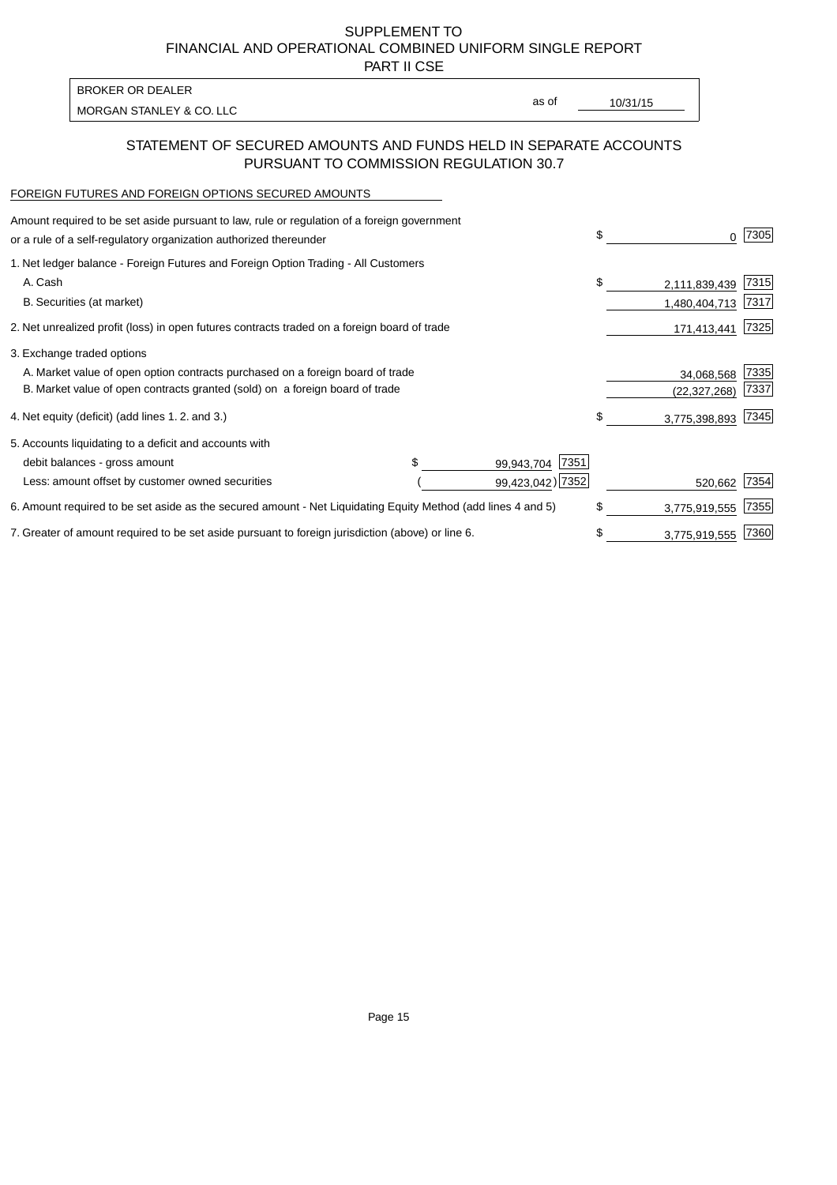PART II CSE

| BROKER OR DEALER         |       |          |
|--------------------------|-------|----------|
| MORGAN STANLEY & CO. LLC | as of | 10/31/15 |
|                          |       |          |

### STATEMENT OF SECURED AMOUNTS AND FUNDS HELD IN SEPARATE ACCOUNTS PURSUANT TO COMMISSION REGULATION 30.7

#### FOREIGN FUTURES AND FOREIGN OPTIONS SECURED AMOUNTS

| Amount required to be set aside pursuant to law, rule or regulation of a foreign government<br>or a rule of a self-regulatory organization authorized thereunder |  |                    | \$<br>0             | 7305 |
|------------------------------------------------------------------------------------------------------------------------------------------------------------------|--|--------------------|---------------------|------|
| 1. Net ledger balance - Foreign Futures and Foreign Option Trading - All Customers                                                                               |  |                    |                     |      |
| A. Cash                                                                                                                                                          |  |                    | \$<br>2,111,839,439 | 7315 |
| B. Securities (at market)                                                                                                                                        |  |                    | 1,480,404,713       | 7317 |
| 2. Net unrealized profit (loss) in open futures contracts traded on a foreign board of trade                                                                     |  |                    | 171,413,441         | 7325 |
| 3. Exchange traded options                                                                                                                                       |  |                    |                     |      |
| A. Market value of open option contracts purchased on a foreign board of trade                                                                                   |  |                    | 34,068,568          | 7335 |
| B. Market value of open contracts granted (sold) on a foreign board of trade                                                                                     |  |                    | (22, 327, 268)      | 7337 |
| 4. Net equity (deficit) (add lines 1.2. and 3.)                                                                                                                  |  |                    | \$<br>3,775,398,893 | 7345 |
| 5. Accounts liquidating to a deficit and accounts with                                                                                                           |  |                    |                     |      |
| debit balances - gross amount                                                                                                                                    |  | 7351<br>99,943,704 |                     |      |
| Less: amount offset by customer owned securities                                                                                                                 |  | 99,423,042) 7352   | 520,662             | 7354 |
| 6. Amount required to be set aside as the secured amount - Net Liquidating Equity Method (add lines 4 and 5)                                                     |  |                    | \$<br>3,775,919,555 | 7355 |
| 7. Greater of amount required to be set aside pursuant to foreign jurisdiction (above) or line 6.                                                                |  |                    | \$<br>3,775,919,555 | 7360 |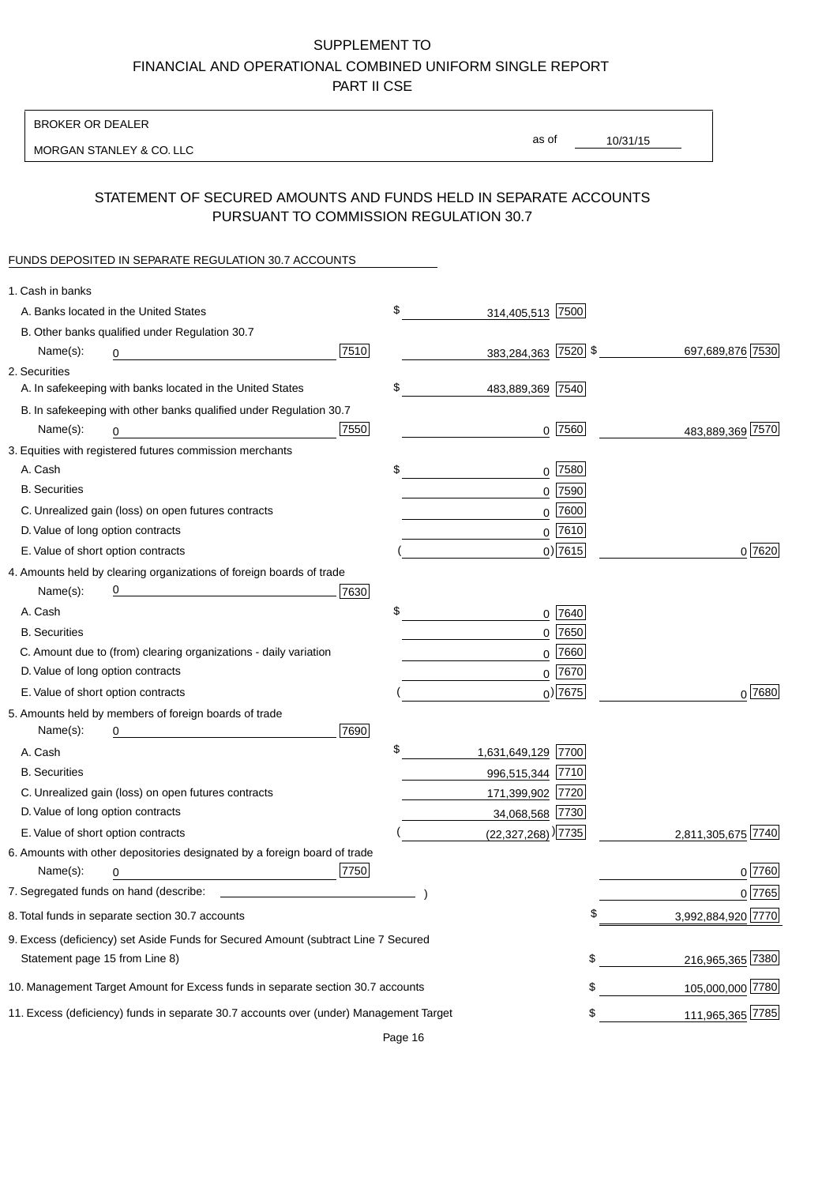BROKER OR DEALER

MORGAN STANLEY & CO. LLC

10/31/15 as of

## STATEMENT OF SECURED AMOUNTS AND FUNDS HELD IN SEPARATE ACCOUNTS PURSUANT TO COMMISSION REGULATION 30.7

### FUNDS DEPOSITED IN SEPARATE REGULATION 30.7 ACCOUNTS

| 1. Cash in banks                   |                                                                                        |      |                                    |             |                    |
|------------------------------------|----------------------------------------------------------------------------------------|------|------------------------------------|-------------|--------------------|
|                                    | A. Banks located in the United States                                                  |      | \$<br>314,405,513 7500             |             |                    |
|                                    | B. Other banks qualified under Regulation 30.7                                         |      |                                    |             |                    |
| Name(s):                           | 0                                                                                      | 7510 | 383,284,363 7520 \$                |             | 697,689,876 7530   |
| 2. Securities                      |                                                                                        |      |                                    |             |                    |
|                                    | A. In safekeeping with banks located in the United States                              |      | \$<br>483,889,369 7540             |             |                    |
|                                    | B. In safekeeping with other banks qualified under Regulation 30.7                     |      |                                    |             |                    |
| Name(s):                           | 0                                                                                      | 7550 |                                    | $0$  7560   | 483,889,369 7570   |
|                                    | 3. Equities with registered futures commission merchants                               |      |                                    |             |                    |
| A. Cash                            |                                                                                        |      | \$                                 | 0 7580      |                    |
| <b>B.</b> Securities               |                                                                                        |      |                                    | $0$ 7590    |                    |
|                                    | C. Unrealized gain (loss) on open futures contracts                                    |      |                                    | $0$ 7600    |                    |
| D. Value of long option contracts  |                                                                                        |      |                                    | $0$ 7610    |                    |
| E. Value of short option contracts |                                                                                        |      |                                    | $0)$ 7615   | 0 7620             |
|                                    | 4. Amounts held by clearing organizations of foreign boards of trade                   |      |                                    |             |                    |
| Name(s):                           |                                                                                        | 7630 |                                    |             |                    |
| A. Cash                            |                                                                                        |      | \$                                 | 0 7640      |                    |
| <b>B.</b> Securities               |                                                                                        |      |                                    | $0$ 7650    |                    |
|                                    | C. Amount due to (from) clearing organizations - daily variation                       |      |                                    | $0$ 7660    |                    |
| D. Value of long option contracts  |                                                                                        |      |                                    | 0 7670      |                    |
| E. Value of short option contracts |                                                                                        |      |                                    | $_0$ ) 7675 | 0 7680             |
|                                    | 5. Amounts held by members of foreign boards of trade                                  |      |                                    |             |                    |
| Name(s):                           | 0                                                                                      | 7690 |                                    |             |                    |
| A. Cash                            |                                                                                        |      | \$<br>1,631,649,129 7700           |             |                    |
| <b>B.</b> Securities               |                                                                                        |      | 996,515,344 7710                   |             |                    |
|                                    | C. Unrealized gain (loss) on open futures contracts                                    |      | 171,399,902 7720                   |             |                    |
| D. Value of long option contracts  |                                                                                        |      | 34,068,568 7730                    |             |                    |
| E. Value of short option contracts |                                                                                        |      | $(22,327,268)$ <sup>)</sup> [7735] |             | 2,811,305,675 7740 |
|                                    | 6. Amounts with other depositories designated by a foreign board of trade              |      |                                    |             |                    |
| Name(s):                           | 0                                                                                      | 7750 |                                    |             | 0 7760             |
|                                    |                                                                                        |      |                                    |             | 0 7765             |
|                                    | 8. Total funds in separate section 30.7 accounts                                       |      |                                    |             | 3,992,884,920 7770 |
|                                    | 9. Excess (deficiency) set Aside Funds for Secured Amount (subtract Line 7 Secured     |      |                                    |             |                    |
| Statement page 15 from Line 8)     |                                                                                        |      |                                    | \$          | 216,965,365 7380   |
|                                    | 10. Management Target Amount for Excess funds in separate section 30.7 accounts        |      |                                    | \$          | 105,000,000 7780   |
|                                    | 11. Excess (deficiency) funds in separate 30.7 accounts over (under) Management Target |      |                                    | \$          | 111,965,365 7785   |
|                                    |                                                                                        |      |                                    |             |                    |